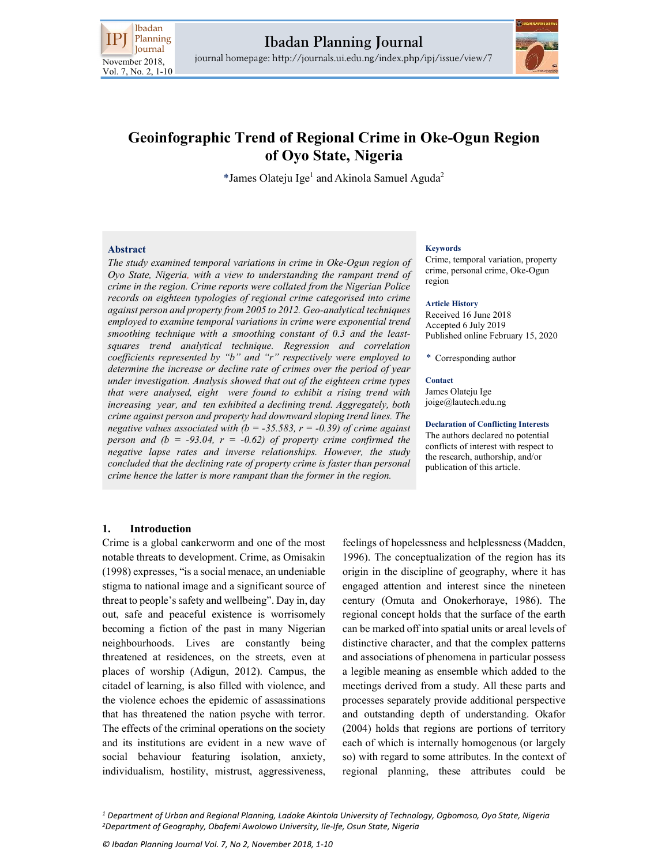



# Geoinfographic Trend of Regional Crime in Oke-Ogun Region of Oyo State, Nigeria

\*James Olateju Ige<sup>1</sup> and Akinola Samuel Aguda<sup>2</sup>

### Abstract

The study examined temporal variations in crime in Oke-Ogun region of Oyo State, Nigeria, with a view to understanding the rampant trend of crime in the region. Crime reports were collated from the Nigerian Police records on eighteen typologies of regional crime categorised into crime against person and property from 2005 to 2012. Geo-analytical techniques employed to examine temporal variations in crime were exponential trend smoothing technique with a smoothing constant of 0.3 and the leastsquares trend analytical technique. Regression and correlation coefficients represented by "b" and "r" respectively were employed to determine the increase or decline rate of crimes over the period of year under investigation. Analysis showed that out of the eighteen crime types that were analysed, eight were found to exhibit a rising trend with increasing year, and ten exhibited a declining trend. Aggregately, both crime against person and property had downward sloping trend lines. The negative values associated with  $(b = -35.583, r = -0.39)$  of crime against person and  $(b = -93.04, r = -0.62)$  of property crime confirmed the negative lapse rates and inverse relationships. However, the study concluded that the declining rate of property crime is faster than personal crime hence the latter is more rampant than the former in the region.

#### Keywords

Crime, temporal variation, property crime, personal crime, Oke-Ogun region

#### Article History

Received 16 June 2018 Accepted 6 July 2019 Published online February 15, 2020

\* Corresponding author

### **Contact**

James Olateju Ige joige@lautech.edu.ng

### Declaration of Conflicting Interests

The authors declared no potential conflicts of interest with respect to the research, authorship, and/or publication of this article.

# 1. Introduction

Crime is a global cankerworm and one of the most notable threats to development. Crime, as Omisakin (1998) expresses, "is a social menace, an undeniable stigma to national image and a significant source of threat to people's safety and wellbeing". Day in, day out, safe and peaceful existence is worrisomely becoming a fiction of the past in many Nigerian neighbourhoods. Lives are constantly being threatened at residences, on the streets, even at places of worship (Adigun, 2012). Campus, the citadel of learning, is also filled with violence, and the violence echoes the epidemic of assassinations that has threatened the nation psyche with terror. The effects of the criminal operations on the society and its institutions are evident in a new wave of social behaviour featuring isolation, anxiety, individualism, hostility, mistrust, aggressiveness,

feelings of hopelessness and helplessness (Madden, 1996). The conceptualization of the region has its origin in the discipline of geography, where it has engaged attention and interest since the nineteen century (Omuta and Onokerhoraye, 1986). The regional concept holds that the surface of the earth can be marked off into spatial units or areal levels of distinctive character, and that the complex patterns and associations of phenomena in particular possess a legible meaning as ensemble which added to the meetings derived from a study. All these parts and processes separately provide additional perspective and outstanding depth of understanding. Okafor (2004) holds that regions are portions of territory each of which is internally homogenous (or largely so) with regard to some attributes. In the context of regional planning, these attributes could be

<sup>1</sup> Department of Urban and Regional Planning, Ladoke Akintola University of Technology, Ogbomoso, Oyo State, Nigeria <sup>2</sup>Department of Geography, Obafemi Awolowo University, Ile-Ife, Osun State, Nigeria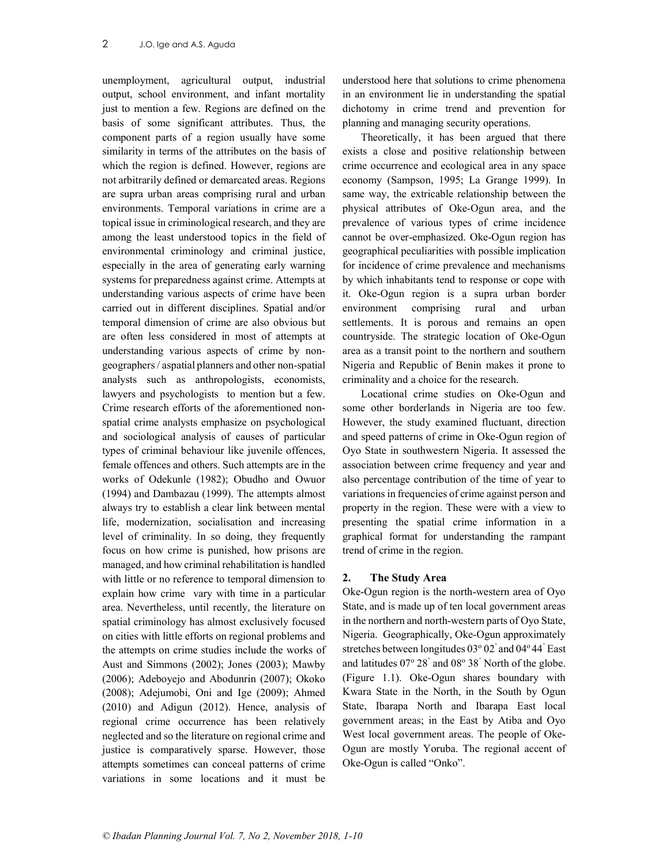unemployment, agricultural output, industrial output, school environment, and infant mortality just to mention a few. Regions are defined on the basis of some significant attributes. Thus, the component parts of a region usually have some similarity in terms of the attributes on the basis of which the region is defined. However, regions are not arbitrarily defined or demarcated areas. Regions are supra urban areas comprising rural and urban environments. Temporal variations in crime are a topical issue in criminological research, and they are among the least understood topics in the field of environmental criminology and criminal justice, especially in the area of generating early warning systems for preparedness against crime. Attempts at understanding various aspects of crime have been carried out in different disciplines. Spatial and/or temporal dimension of crime are also obvious but are often less considered in most of attempts at understanding various aspects of crime by nongeographers / aspatial planners and other non-spatial analysts such as anthropologists, economists, lawyers and psychologists to mention but a few. Crime research efforts of the aforementioned nonspatial crime analysts emphasize on psychological and sociological analysis of causes of particular types of criminal behaviour like juvenile offences, female offences and others. Such attempts are in the works of Odekunle (1982); Obudho and Owuor (1994) and Dambazau (1999). The attempts almost always try to establish a clear link between mental life, modernization, socialisation and increasing level of criminality. In so doing, they frequently focus on how crime is punished, how prisons are managed, and how criminal rehabilitation is handled with little or no reference to temporal dimension to explain how crime vary with time in a particular area. Nevertheless, until recently, the literature on spatial criminology has almost exclusively focused on cities with little efforts on regional problems and the attempts on crime studies include the works of Aust and Simmons (2002); Jones (2003); Mawby (2006); Adeboyejo and Abodunrin (2007); Okoko (2008); Adejumobi, Oni and Ige (2009); Ahmed (2010) and Adigun (2012). Hence, analysis of regional crime occurrence has been relatively neglected and so the literature on regional crime and justice is comparatively sparse. However, those attempts sometimes can conceal patterns of crime variations in some locations and it must be

understood here that solutions to crime phenomena in an environment lie in understanding the spatial dichotomy in crime trend and prevention for planning and managing security operations.

Theoretically, it has been argued that there exists a close and positive relationship between crime occurrence and ecological area in any space economy (Sampson, 1995; La Grange 1999). In same way, the extricable relationship between the physical attributes of Oke-Ogun area, and the prevalence of various types of crime incidence cannot be over-emphasized. Oke-Ogun region has geographical peculiarities with possible implication for incidence of crime prevalence and mechanisms by which inhabitants tend to response or cope with it. Oke-Ogun region is a supra urban border environment comprising rural and urban settlements. It is porous and remains an open countryside. The strategic location of Oke-Ogun area as a transit point to the northern and southern Nigeria and Republic of Benin makes it prone to criminality and a choice for the research.

Locational crime studies on Oke-Ogun and some other borderlands in Nigeria are too few. However, the study examined fluctuant, direction and speed patterns of crime in Oke-Ogun region of Oyo State in southwestern Nigeria. It assessed the association between crime frequency and year and also percentage contribution of the time of year to variations in frequencies of crime against person and property in the region. These were with a view to presenting the spatial crime information in a graphical format for understanding the rampant trend of crime in the region.

# 2. The Study Area

Oke-Ogun region is the north-western area of Oyo State, and is made up of ten local government areas in the northern and north-western parts of Oyo State, Nigeria. Geographically, Oke-Ogun approximately stretches between longitudes 03° 02' and 04° 44' East and latitudes  $07^{\circ}$  28<sup>'</sup> and  $08^{\circ}$  38<sup>'</sup> North of the globe. (Figure 1.1). Oke-Ogun shares boundary with Kwara State in the North, in the South by Ogun State, Ibarapa North and Ibarapa East local government areas; in the East by Atiba and Oyo West local government areas. The people of Oke-Ogun are mostly Yoruba. The regional accent of Oke-Ogun is called "Onko".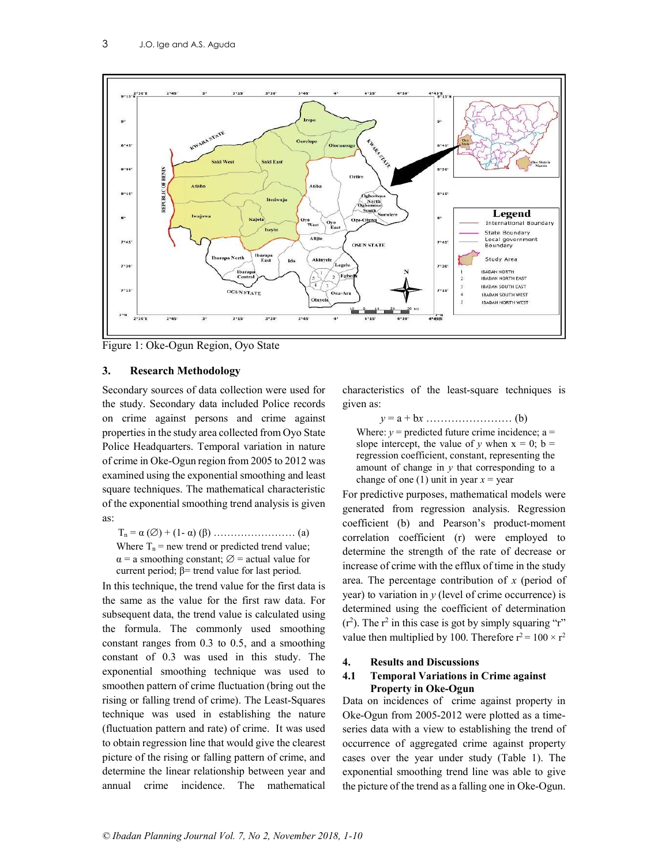

Figure 1: Oke-Ogun Region, Oyo State

# 3. Research Methodology

Secondary sources of data collection were used for the study. Secondary data included Police records on crime against persons and crime against properties in the study area collected from Oyo State Police Headquarters. Temporal variation in nature of crime in Oke-Ogun region from 2005 to 2012 was examined using the exponential smoothing and least square techniques. The mathematical characteristic of the exponential smoothing trend analysis is given as:

Tn = α () + (1- α) (β) …………………… (a) Where  $T_n$  = new trend or predicted trend value;  $\alpha$  = a smoothing constant;  $\varnothing$  = actual value for current period;  $\beta$ = trend value for last period.

In this technique, the trend value for the first data is the same as the value for the first raw data. For subsequent data, the trend value is calculated using the formula. The commonly used smoothing constant ranges from 0.3 to 0.5, and a smoothing constant of 0.3 was used in this study. The exponential smoothing technique was used to smoothen pattern of crime fluctuation (bring out the rising or falling trend of crime). The Least-Squares technique was used in establishing the nature (fluctuation pattern and rate) of crime. It was used to obtain regression line that would give the clearest picture of the rising or falling pattern of crime, and determine the linear relationship between year and annual crime incidence. The mathematical

characteristics of the least-square techniques is given as:

y = a + bx …………………… (b) Where:  $y =$  predicted future crime incidence; a = slope intercept, the value of y when  $x = 0$ ;  $b =$ regression coefficient, constant, representing the amount of change in  $y$  that corresponding to a change of one (1) unit in year  $x =$  year

For predictive purposes, mathematical models were generated from regression analysis. Regression coefficient (b) and Pearson's product-moment correlation coefficient (r) were employed to determine the strength of the rate of decrease or increase of crime with the efflux of time in the study area. The percentage contribution of  $x$  (period of year) to variation in  $y$  (level of crime occurrence) is determined using the coefficient of determination  $(r<sup>2</sup>)$ . The  $r<sup>2</sup>$  in this case is got by simply squaring "r" value then multiplied by 100. Therefore  $r^2 = 100 \times r^2$ 

# 4. Results and Discussions

# 4.1 Temporal Variations in Crime against Property in Oke-Ogun

Data on incidences of crime against property in Oke-Ogun from 2005-2012 were plotted as a timeseries data with a view to establishing the trend of occurrence of aggregated crime against property cases over the year under study (Table 1). The exponential smoothing trend line was able to give the picture of the trend as a falling one in Oke-Ogun.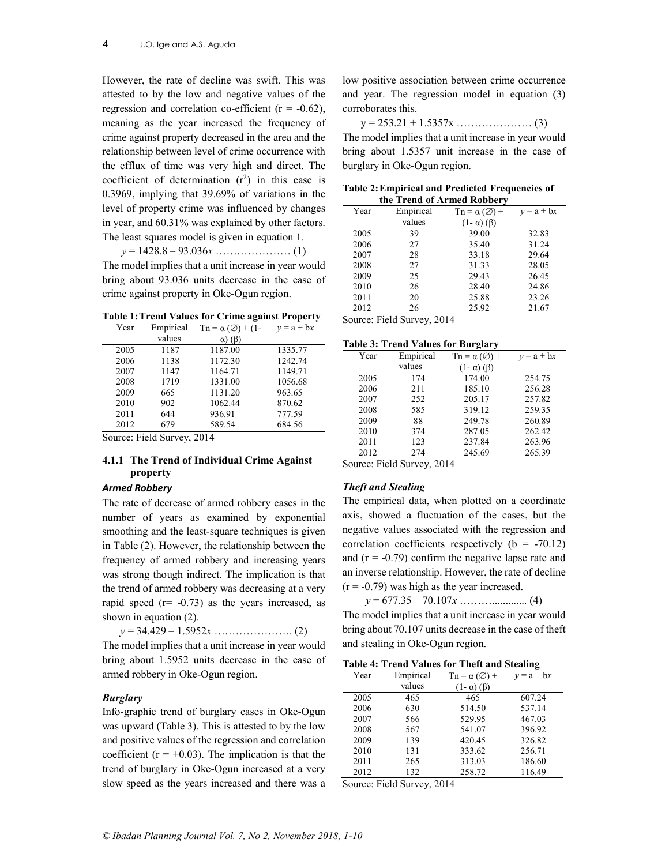However, the rate of decline was swift. This was attested to by the low and negative values of the regression and correlation co-efficient ( $r = -0.62$ ), meaning as the year increased the frequency of crime against property decreased in the area and the relationship between level of crime occurrence with the efflux of time was very high and direct. The coefficient of determination  $(r^2)$  in this case is 0.3969, implying that 39.69% of variations in the level of property crime was influenced by changes in year, and 60.31% was explained by other factors. The least squares model is given in equation 1.

 $y = 1428.8 - 93.036x \dots (1)$ The model implies that a unit increase in year would bring about 93.036 units decrease in the case of crime against property in Oke-Ogun region.

Table 1: Trend Values for Crime against Property

| Year | Empirical | $\cdot$<br>$\text{Tr} = \alpha (\emptyset) + (1 - \alpha)$ | $\cdot$<br>$v = a + bx$ |
|------|-----------|------------------------------------------------------------|-------------------------|
|      | values    | $\alpha$ ) ( $\beta$ )                                     |                         |
| 2005 | 1187      | 1187.00                                                    | 1335.77                 |
| 2006 | 1138      | 1172.30                                                    | 1242.74                 |
| 2007 | 1147      | 1164.71                                                    | 1149.71                 |
| 2008 | 1719      | 1331.00                                                    | 1056.68                 |
| 2009 | 665       | 1131.20                                                    | 963.65                  |
| 2010 | 902       | 1062.44                                                    | 870.62                  |
| 2011 | 644       | 936.91                                                     | 777.59                  |
| 2012 | 679       | 589.54                                                     | 684.56                  |

Source: Field Survey, 2014

# 4.1.1 The Trend of Individual Crime Against property

# Armed Robbery

The rate of decrease of armed robbery cases in the number of years as examined by exponential smoothing and the least-square techniques is given in Table (2). However, the relationship between the frequency of armed robbery and increasing years was strong though indirect. The implication is that the trend of armed robbery was decreasing at a very rapid speed  $(r = -0.73)$  as the years increased, as shown in equation (2).

y = 34.429 – 1.5952x …………………. (2)

The model implies that a unit increase in year would bring about 1.5952 units decrease in the case of armed robbery in Oke-Ogun region.

# Burglary

Info-graphic trend of burglary cases in Oke-Ogun was upward (Table 3). This is attested to by the low and positive values of the regression and correlation coefficient ( $r = +0.03$ ). The implication is that the trend of burglary in Oke-Ogun increased at a very slow speed as the years increased and there was a

low positive association between crime occurrence and year. The regression model in equation (3) corroborates this.

y = 253.21 + 1.5357x ………………… (3)

The model implies that a unit increase in year would bring about 1.5357 unit increase in the case of burglary in Oke-Ogun region.

|      |           | the Treng of Armed Roddery                        |              |
|------|-----------|---------------------------------------------------|--------------|
| Year | Empirical | $\mathrm{Ln} = \alpha \left( \emptyset \right) +$ | $v = a + bx$ |
|      | values    | $(1 - \alpha)$ ( $\beta$ )                        |              |
| 2005 | 39        | 39.00                                             | 32.83        |
| 2006 | 27        | 35.40                                             | 31.24        |
| 2007 | 28        | 33.18                                             | 29.64        |
| 2008 | 27        | 31.33                                             | 28.05        |
| 2009 | 25        | 29.43                                             | 26.45        |
| 2010 | 26        | 28.40                                             | 24.86        |
| 2011 | 20        | 25.88                                             | 23.26        |
| 2012 | 26        | 25.92                                             | 21.67        |

Table 2: Empirical and Predicted Frequencies of the Trend of Armed Robbery

Source: Field Survey, 2014

|  |  |  |  |  |  | <b>Table 3: Trend Values for Burglary</b> |
|--|--|--|--|--|--|-------------------------------------------|
|--|--|--|--|--|--|-------------------------------------------|

|      | 1.011     |                                     |              |
|------|-----------|-------------------------------------|--------------|
| Year | Empirical | $\mathrm{Ta} = \alpha(\emptyset) +$ | $v = a + bx$ |
|      | values    | $(1-\alpha)(\beta)$                 |              |
| 2005 | 174       | 174.00                              | 254.75       |
| 2006 | 211       | 185.10                              | 256.28       |
| 2007 | 252       | 205.17                              | 257.82       |
| 2008 | 585       | 319.12                              | 259.35       |
| 2009 | 88        | 249.78                              | 260.89       |
| 2010 | 374       | 287.05                              | 262.42       |
| 2011 | 123       | 237.84                              | 263.96       |
| 2012 | 274       | 245.69                              | 265.39       |

Source: Field Survey, 2014

# Theft and Stealing

The empirical data, when plotted on a coordinate axis, showed a fluctuation of the cases, but the negative values associated with the regression and correlation coefficients respectively ( $b = -70.12$ ) and  $(r = -0.79)$  confirm the negative lapse rate and an inverse relationship. However, the rate of decline  $(r = -0.79)$  was high as the year increased.

y = 677.35 – 70.107x ………............. (4)

The model implies that a unit increase in year would bring about 70.107 units decrease in the case of theft and stealing in Oke-Ogun region.

### Table 4: Trend Values for Theft and Stealing

| Year | Empirical | $\mathrm{Ta} = \alpha(\emptyset) +$ | $y = a + bx$ |
|------|-----------|-------------------------------------|--------------|
|      | values    | $(1 - \alpha)$ ( $\beta$ )          |              |
| 2005 | 465       | 465                                 | 607.24       |
| 2006 | 630       | 514.50                              | 537.14       |
| 2007 | 566       | 529.95                              | 467.03       |
| 2008 | 567       | 541.07                              | 396.92       |
| 2009 | 139       | 420.45                              | 326.82       |
| 2010 | 131       | 333.62                              | 256.71       |
| 2011 | 265       | 313.03                              | 186.60       |
| 2012 | 132       | 258.72                              | 116.49       |

Source: Field Survey, 2014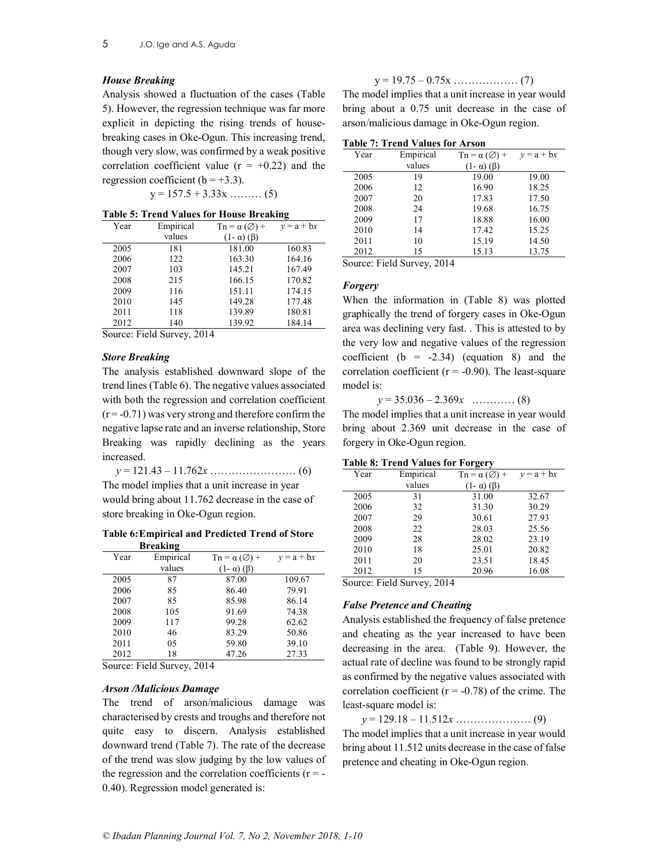### House Breaking

Analysis showed a fluctuation of the cases (Table 5). However, the regression technique was far more explicit in depicting the rising trends of housebreaking cases in Oke-Ogun. This increasing trend, though very slow, was confirmed by a weak positive correlation coefficient value  $(r = +0.22)$  and the regression coefficient ( $b = +3.3$ ).

 $y = 157.5 + 3.33x \dots (5)$ 

|  |  |  |  |  |  | <b>Table 5: Trend Values for House Breaking</b> |  |
|--|--|--|--|--|--|-------------------------------------------------|--|
|--|--|--|--|--|--|-------------------------------------------------|--|

| Year | Empirical | $\mathrm{Ln} = \alpha (\emptyset) +$ | $v = a + bx$ |
|------|-----------|--------------------------------------|--------------|
|      | values    | $(1 - \alpha)$ ( $\beta$ )           |              |
| 2005 | 181       | 181.00                               | 160.83       |
| 2006 | 122       | 163.30                               | 164.16       |
| 2007 | 103       | 145.21                               | 167.49       |
| 2008 | 215       | 166.15                               | 170.82       |
| 2009 | 116       | 151.11                               | 174.15       |
| 2010 | 145       | 149.28                               | 177.48       |
| 2011 | 118       | 139.89                               | 180.81       |
| 2012 | 140       | 139.92                               | 184.14       |

Source: Field Survey, 2014

### Store Breaking

The analysis established downward slope of the trend lines (Table 6). The negative values associated with both the regression and correlation coefficient  $(r = -0.71)$  was very strong and therefore confirm the negative lapse rate and an inverse relationship, Store Breaking was rapidly declining as the years increased.

y = 121.43 – 11.762x …………………… (6) The model implies that a unit increase in year would bring about 11.762 decrease in the case of store breaking in Oke-Ogun region.

### Table 6: Empirical and Predicted Trend of Store Breaking

| Year | Empirical | $\mathrm{Ln} = \alpha \left( \emptyset \right) +$ | $v = a + bx$ |
|------|-----------|---------------------------------------------------|--------------|
|      | values    | $(1 - \alpha)$ ( $\beta$ )                        |              |
| 2005 | 87        | 87.00                                             | 109.67       |
| 2006 | 85        | 86.40                                             | 79.91        |
| 2007 | 85        | 85.98                                             | 86.14        |
| 2008 | 105       | 91.69                                             | 74.38        |
| 2009 | 117       | 99.28                                             | 62.62        |
| 2010 | 46        | 83.29                                             | 50.86        |
| 2011 | 05        | 59.80                                             | 39.10        |
| 2012 | 18        | 47.26                                             | 27.33        |

Source: Field Survey, 2014

### Arson /Malicious Damage

The trend of arson/malicious damage was characterised by crests and troughs and therefore not quite easy to discern. Analysis established downward trend (Table 7). The rate of the decrease of the trend was slow judging by the low values of the regression and the correlation coefficients ( $r = -$ 0.40). Regression model generated is:

$$
y = 19.75 - 0.75x \dots \dots \dots \dots \dots \dots (7)
$$

The model implies that a unit increase in year would bring about a 0.75 unit decrease in the case of arson/malicious damage in Oke-Ogun region.

| Table 7: Trend Values for Arson |
|---------------------------------|
|---------------------------------|

| Year | Empirical | $\text{Tr} = \alpha(\emptyset) +$ | $v = a + bx$ |
|------|-----------|-----------------------------------|--------------|
|      | values    | $(1 - \alpha)$ ( $\beta$ )        |              |
| 2005 | 19        | 19.00                             | 19.00        |
| 2006 | 12        | 16.90                             | 18.25        |
| 2007 | 20        | 17.83                             | 17.50        |
| 2008 | 24        | 19.68                             | 16.75        |
| 2009 | 17        | 18.88                             | 16.00        |
| 2010 | 14        | 17.42                             | 15.25        |
| 2011 | 10        | 15.19                             | 14.50        |
| 2012 | 15        | 15.13                             | 13.75        |

Source: Field Survey, 2014

# Forgery

When the information in (Table 8) was plotted graphically the trend of forgery cases in Oke-Ogun area was declining very fast. . This is attested to by the very low and negative values of the regression coefficient  $(b = -2.34)$  (equation 8) and the correlation coefficient ( $r = -0.90$ ). The least-square model is:

 $y = 35.036 - 2.369x$  ………… (8)

The model implies that a unit increase in year would bring about 2.369 unit decrease in the case of forgery in Oke-Ogun region.

| Year | Empirical | $\text{Tr} = \alpha(\emptyset) +$ | $v = a + bx$ |
|------|-----------|-----------------------------------|--------------|
|      | values    | $(1 - \alpha)$ ( $\beta$ )        |              |
| 2005 | 31        | 31.00                             | 32.67        |
| 2006 | 32        | 31.30                             | 30.29        |
| 2007 | 29        | 30.61                             | 27.93        |
| 2008 | 22        | 28.03                             | 25.56        |
| 2009 | 28        | 28.02                             | 23.19        |
| 2010 | 18        | 25.01                             | 20.82        |
| 2011 | 20        | 23.51                             | 18.45        |
| 2012 | 15        | 20.96                             | 16.08        |

Source: Field Survey, 2014

# False Pretence and Cheating

Analysis established the frequency of false pretence and cheating as the year increased to have been decreasing in the area. (Table 9). However, the actual rate of decline was found to be strongly rapid as confirmed by the negative values associated with correlation coefficient ( $r = -0.78$ ) of the crime. The least-square model is:

y = 129.18 – 11.512x ………………… (9)

The model implies that a unit increase in year would bring about 11.512 units decrease in the case of false pretence and cheating in Oke-Ogun region.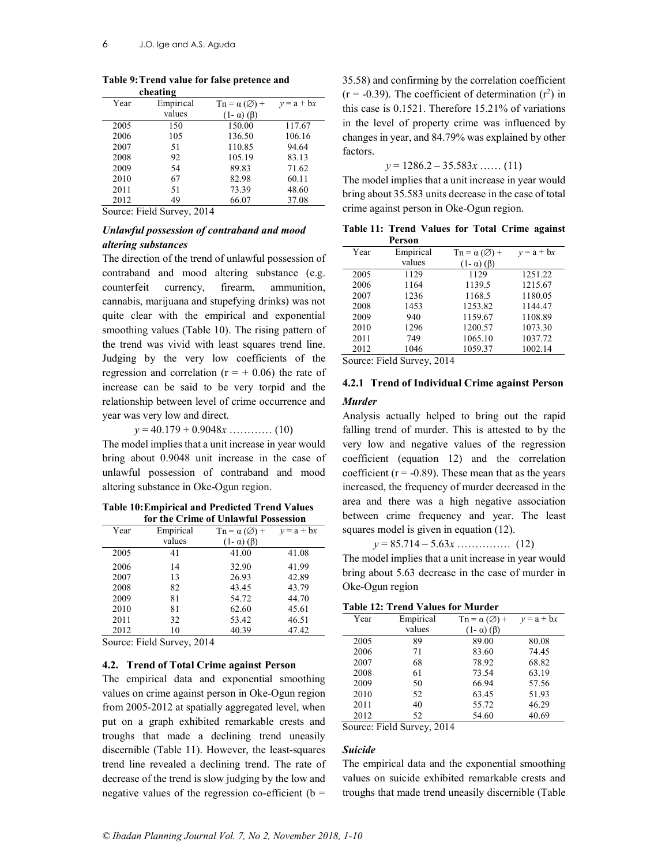|      | енеаспе   |                                                   |              |
|------|-----------|---------------------------------------------------|--------------|
| Year | Empirical | $\mathrm{Ln} = \alpha \left( \emptyset \right) +$ | $y = a + bx$ |
|      | values    | $(1-\alpha)$ ( $\beta$ )                          |              |
| 2005 | 150       | 150.00                                            | 117.67       |
| 2006 | 105       | 136.50                                            | 106.16       |
| 2007 | 51        | 110.85                                            | 94.64        |
| 2008 | 92        | 105.19                                            | 83.13        |
| 2009 | 54        | 89.83                                             | 71.62        |
| 2010 | 67        | 82.98                                             | 60.11        |
| 2011 | 51        | 73.39                                             | 48.60        |
| 2012 | 49        | 66.07                                             | 37.08        |
|      |           |                                                   |              |

#### Table 9: Trend value for false pretence and cheating

Source: Field Survey, 2014

# Unlawful possession of contraband and mood altering substances

The direction of the trend of unlawful possession of contraband and mood altering substance (e.g. counterfeit currency, firearm, ammunition, cannabis, marijuana and stupefying drinks) was not quite clear with the empirical and exponential smoothing values (Table 10). The rising pattern of the trend was vivid with least squares trend line. Judging by the very low coefficients of the regression and correlation  $(r = + 0.06)$  the rate of increase can be said to be very torpid and the relationship between level of crime occurrence and year was very low and direct.

 $y = 40.179 + 0.9048x$  ………… (10)

The model implies that a unit increase in year would bring about 0.9048 unit increase in the case of unlawful possession of contraband and mood altering substance in Oke-Ogun region.

### Table 10: Empirical and Predicted Trend Values for the Crime of Unlawful Possession

| Empirical | $\mathrm{T}n = \alpha(\emptyset) +$ | $v = a + bx$                  |
|-----------|-------------------------------------|-------------------------------|
| values    | $(1 - \alpha)$ ( $\beta$ )          |                               |
| 41        | 41.00                               | 41.08                         |
| 14        | 32.90                               | 41.99                         |
| 13        | 26.93                               | 42.89                         |
| 82        | 43.45                               | 43.79                         |
| 81        | 54.72                               | 44.70                         |
| 81        | 62.60                               | 45.61                         |
| 32        | 53.42                               | 46.51                         |
| 10        | 40.39                               | 47.42                         |
|           |                                     | une erme of emitting footbook |

Source: Field Survey, 2014

# 4.2. Trend of Total Crime against Person

The empirical data and exponential smoothing values on crime against person in Oke-Ogun region from 2005-2012 at spatially aggregated level, when put on a graph exhibited remarkable crests and troughs that made a declining trend uneasily discernible (Table 11). However, the least-squares trend line revealed a declining trend. The rate of decrease of the trend is slow judging by the low and negative values of the regression co-efficient ( $b =$ 

35.58) and confirming by the correlation coefficient  $(r = -0.39)$ . The coefficient of determination  $(r^2)$  in this case is 0.1521. Therefore 15.21% of variations in the level of property crime was influenced by changes in year, and 84.79% was explained by other factors.

 $y = 1286.2 - 35.583x \dots (11)$ 

The model implies that a unit increase in year would bring about 35.583 units decrease in the case of total crime against person in Oke-Ogun region.

Table 11: Trend Values for Total Crime against Person

| Year | Empirical       | $\text{Tr} = \alpha(\emptyset) +$ | $v = a + bx$ |
|------|-----------------|-----------------------------------|--------------|
|      | values          | $(1 - \alpha)$ ( $\beta$ )        |              |
| 2005 | 1129            | 1129                              | 1251.22      |
| 2006 | 1164            | 1139.5                            | 1215.67      |
| 2007 | 1236            | 1168.5                            | 1180.05      |
| 2008 | 1453            | 1253.82                           | 1144.47      |
| 2009 | 940             | 1159.67                           | 1108.89      |
| 2010 | 1296            | 1200.57                           | 1073.30      |
| 2011 | 749             | 1065.10                           | 1037.72      |
| 2012 | 1046            | 1059.37                           | 1002.14      |
| T.   | 11 <sub>0</sub> | 2011                              |              |

Source: Field Survey, 2014

# 4.2.1 Trend of Individual Crime against Person

# Murder

Analysis actually helped to bring out the rapid falling trend of murder. This is attested to by the very low and negative values of the regression coefficient (equation 12) and the correlation coefficient ( $r = -0.89$ ). These mean that as the years increased, the frequency of murder decreased in the area and there was a high negative association between crime frequency and year. The least squares model is given in equation (12).

 $y = 85.714 - 5.63x \dots (12)$ 

The model implies that a unit increase in year would bring about 5.63 decrease in the case of murder in Oke-Ogun region

# Table 12: Trend Values for Murder

| Year   | Empirical                     | $\mathrm{Ta} = \alpha(\emptyset) +$ | $v = a + bx$ |
|--------|-------------------------------|-------------------------------------|--------------|
|        | values                        | $(1 - \alpha)$ ( $\beta$ )          |              |
| 2005   | 89                            | 89.00                               | 80.08        |
| 2006   | 71                            | 83.60                               | 74.45        |
| 2007   | 68                            | 78.92                               | 68.82        |
| 2008   | 61                            | 73.54                               | 63.19        |
| 2009   | 50                            | 66.94                               | 57.56        |
| 2010   | 52                            | 63.45                               | 51.93        |
| 2011   | 40                            | 55.72                               | 46.29        |
| 2012   | 52                            | 54.60                               | 40.69        |
| $\sim$ | $\Gamma$ 11 $\alpha$<br>0.011 |                                     |              |

Source: Field Survey, 2014

# Suicide

The empirical data and the exponential smoothing values on suicide exhibited remarkable crests and troughs that made trend uneasily discernible (Table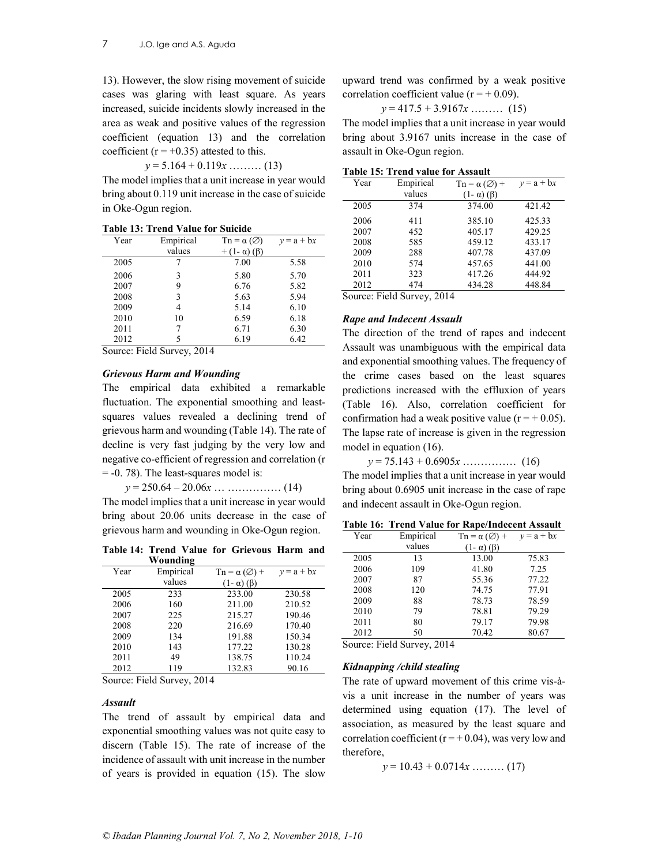13). However, the slow rising movement of suicide cases was glaring with least square. As years increased, suicide incidents slowly increased in the area as weak and positive values of the regression coefficient (equation 13) and the correlation coefficient ( $r = +0.35$ ) attested to this.

 $y = 5.164 + 0.119x$  ……… (13)

The model implies that a unit increase in year would bring about 0.119 unit increase in the case of suicide in Oke-Ogun region.

|  |  |  |  |  |  | Table 13: Trend Value for Suicide |
|--|--|--|--|--|--|-----------------------------------|
|--|--|--|--|--|--|-----------------------------------|

| Year | Empirical | $\text{Tr} = \alpha \left( \emptyset \right)$ | $y = a + bx$ |
|------|-----------|-----------------------------------------------|--------------|
|      | values    | $(1-\alpha)(\beta)$                           |              |
| 2005 |           | 7.00                                          | 5.58         |
| 2006 | 3         | 5.80                                          | 5.70         |
| 2007 | 9         | 6.76                                          | 5.82         |
| 2008 | 3         | 5.63                                          | 5.94         |
| 2009 | 4         | 5.14                                          | 6.10         |
| 2010 | 10        | 6.59                                          | 6.18         |
| 2011 |           | 6.71                                          | 6.30         |
| 2012 | 5         | 6.19                                          | 6.42         |
|      |           |                                               |              |

Source: Field Survey, 2014

# Grievous Harm and Wounding

The empirical data exhibited a remarkable fluctuation. The exponential smoothing and leastsquares values revealed a declining trend of grievous harm and wounding (Table 14). The rate of decline is very fast judging by the very low and negative co-efficient of regression and correlation (r = -0. 78). The least-squares model is:

 $y = 250.64 - 20.06x \dots \dots \dots \dots \dots (14)$ The model implies that a unit increase in year would bring about 20.06 units decrease in the case of grievous harm and wounding in Oke-Ogun region.

Table 14: Trend Value for Grievous Harm and Wounding

| Year | Empirical | $\text{Tr} = \alpha(\emptyset) +$ | $v = a + bx$ |
|------|-----------|-----------------------------------|--------------|
|      | values    | $(1 - \alpha)$ ( $\beta$ )        |              |
| 2005 | 233       | 233.00                            | 230.58       |
| 2006 | 160       | 211.00                            | 210.52       |
| 2007 | 225       | 215.27                            | 190.46       |
| 2008 | 220       | 216.69                            | 170.40       |
| 2009 | 134       | 191.88                            | 150.34       |
| 2010 | 143       | 177.22                            | 130.28       |
| 2011 | 49        | 138.75                            | 110.24       |
| 2012 | 119       | 132.83                            | 90.16        |

Source: Field Survey, 2014

### Assault

The trend of assault by empirical data and exponential smoothing values was not quite easy to discern (Table 15). The rate of increase of the incidence of assault with unit increase in the number of years is provided in equation (15). The slow

upward trend was confirmed by a weak positive correlation coefficient value ( $r = +0.09$ ).

 $y = 417.5 + 3.9167x$  ……… (15)

The model implies that a unit increase in year would bring about 3.9167 units increase in the case of assault in Oke-Ogun region.

| Year | Empirical | $\mathrm{Ln} = \alpha \left( \emptyset \right) +$ | $y = a + bx$ |
|------|-----------|---------------------------------------------------|--------------|
|      | values    | $(1 - \alpha)$ ( $\beta$ )                        |              |
| 2005 | 374       | 374.00                                            | 421.42       |
| 2006 | 411       | 385.10                                            | 425.33       |
| 2007 | 452       | 405.17                                            | 429.25       |
| 2008 | 585       | 459.12                                            | 433.17       |
| 2009 | 288       | 407.78                                            | 437.09       |
| 2010 | 574       | 457.65                                            | 441.00       |
| 2011 | 323       | 417.26                                            | 444.92       |
| 2012 | 474       | 434.28                                            | 448.84       |
|      | ______    |                                                   |              |

Source: Field Survey, 2014

# Rape and Indecent Assault

The direction of the trend of rapes and indecent Assault was unambiguous with the empirical data and exponential smoothing values. The frequency of the crime cases based on the least squares predictions increased with the effluxion of years (Table 16). Also, correlation coefficient for confirmation had a weak positive value ( $r = +0.05$ ). The lapse rate of increase is given in the regression model in equation (16).

y = 75.143 + 0.6905x …………… (16)

The model implies that a unit increase in year would bring about 0.6905 unit increase in the case of rape and indecent assault in Oke-Ogun region.

| Table 16: Trend Value for Rape/Indecent Assault |  |  |  |  |  |  |  |  |
|-------------------------------------------------|--|--|--|--|--|--|--|--|
|-------------------------------------------------|--|--|--|--|--|--|--|--|

| Year | Empirical | $\text{Tr} = \alpha(\emptyset) +$ | $y = a + bx$ |
|------|-----------|-----------------------------------|--------------|
|      | values    | $(1 - \alpha)$ ( $\beta$ )        |              |
| 2005 | 13        | 13.00                             | 75.83        |
| 2006 | 109       | 41.80                             | 7.25         |
| 2007 | 87        | 55.36                             | 77.22        |
| 2008 | 120       | 74.75                             | 77.91        |
| 2009 | 88        | 78.73                             | 78.59        |
| 2010 | 79        | 78.81                             | 79.29        |
| 2011 | 80        | 79.17                             | 79.98        |
| 2012 | 50        | 70.42                             | 80.67        |

Source: Field Survey, 2014

### Kidnapping /child stealing

The rate of upward movement of this crime vis-àvis a unit increase in the number of years was determined using equation (17). The level of association, as measured by the least square and correlation coefficient ( $r = +0.04$ ), was very low and therefore,

$$
y = 10.43 + 0.0714x \dots \dots \dots \dots (17)
$$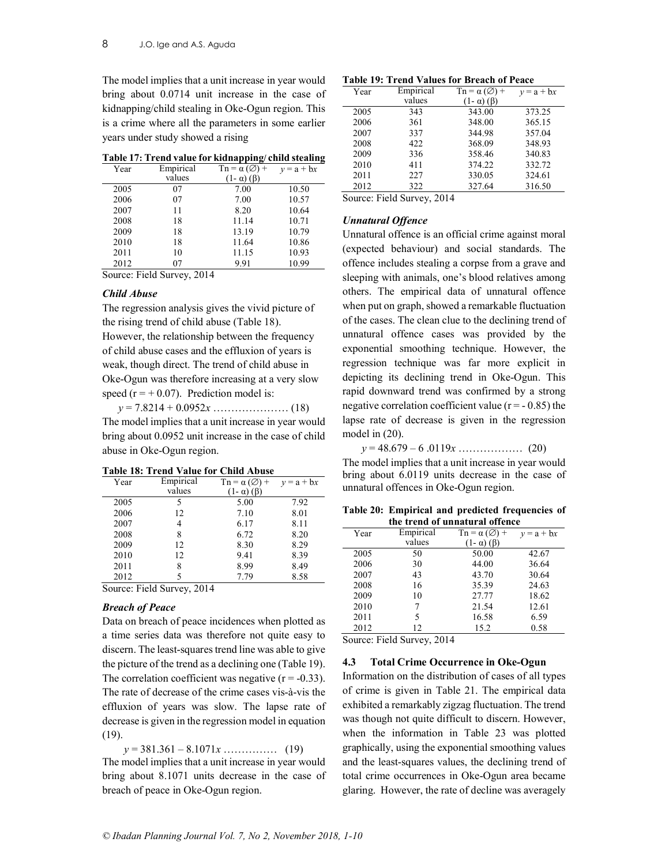The model implies that a unit increase in year would bring about 0.0714 unit increase in the case of kidnapping/child stealing in Oke-Ogun region. This is a crime where all the parameters in some earlier years under study showed a rising

|  |  | Table 17: Trend value for kidnapping/child stealing |
|--|--|-----------------------------------------------------|
|  |  |                                                     |

| Year | Empirical | $\text{Tr} = \alpha(\emptyset) +$ | $v = a + bx$ |
|------|-----------|-----------------------------------|--------------|
|      | values    | $(1 - \alpha)$ ( $\beta$ )        |              |
| 2005 | 07        | 7.00                              | 10.50        |
| 2006 | 07        | 7.00                              | 10.57        |
| 2007 | 11        | 8.20                              | 10.64        |
| 2008 | 18        | 11.14                             | 10.71        |
| 2009 | 18        | 13.19                             | 10.79        |
| 2010 | 18        | 11.64                             | 10.86        |
| 2011 | 10        | 11.15                             | 10.93        |
| 2012 | 07        | 9.91                              | 10.99        |

Source: Field Survey, 2014

# Child Abuse

The regression analysis gives the vivid picture of the rising trend of child abuse (Table 18). However, the relationship between the frequency of child abuse cases and the effluxion of years is weak, though direct. The trend of child abuse in Oke-Ogun was therefore increasing at a very slow speed ( $r = +0.07$ ). Prediction model is:

y = 7.8214 + 0.0952x ………………… (18) The model implies that a unit increase in year would bring about 0.0952 unit increase in the case of child abuse in Oke-Ogun region.

|  |  |  |  |  |  | Table 18: Trend Value for Child Abuse |  |
|--|--|--|--|--|--|---------------------------------------|--|
|--|--|--|--|--|--|---------------------------------------|--|

| Year | Empirical | $\mathrm{Tn} = \alpha(\emptyset) +$ | $v = a + bx$ |
|------|-----------|-------------------------------------|--------------|
|      | values    | $(1-\alpha)$ ( $\beta$ )            |              |
| 2005 | 5         | 5.00                                | 7.92         |
| 2006 | 12        | 7.10                                | 8.01         |
| 2007 | 4         | 6.17                                | 8.11         |
| 2008 | 8         | 6.72                                | 8.20         |
| 2009 | 12        | 8.30                                | 8.29         |
| 2010 | 12        | 9.41                                | 8.39         |
| 2011 | 8         | 8.99                                | 8.49         |
| 2012 |           | 7.79                                | 8.58         |
| ---- | ----      |                                     |              |

Source: Field Survey, 2014

# Breach of Peace

Data on breach of peace incidences when plotted as a time series data was therefore not quite easy to discern. The least-squares trend line was able to give the picture of the trend as a declining one (Table 19). The correlation coefficient was negative  $(r = -0.33)$ . The rate of decrease of the crime cases vis-à-vis the effluxion of years was slow. The lapse rate of decrease is given in the regression model in equation (19).

y = 381.361 – 8.1071x …………… (19)

The model implies that a unit increase in year would bring about 8.1071 units decrease in the case of breach of peace in Oke-Ogun region.

Table 19: Trend Values for Breach of Peace

| Empirical<br>$Tn = \alpha(\emptyset) +$<br>Year | $v = a + bx$ |
|-------------------------------------------------|--------------|
| values<br>$(1 - \alpha)$ ( $\beta$ )            |              |
| 343.00<br>2005<br>343                           | 373.25       |
| 2006<br>348.00<br>361                           | 365.15       |
| 2007<br>344.98<br>337                           | 357.04       |
| 368.09<br>2008<br>422                           | 348.93       |
| 2009<br>358.46<br>336                           | 340.83       |
| 2010<br>374.22<br>411                           | 332.72       |
| 330.05<br>2011<br>227                           | 324.61       |
| 2012<br>327.64<br>322                           | 316.50       |

Source: Field Survey, 2014

# Unnatural Offence

Unnatural offence is an official crime against moral (expected behaviour) and social standards. The offence includes stealing a corpse from a grave and sleeping with animals, one's blood relatives among others. The empirical data of unnatural offence when put on graph, showed a remarkable fluctuation of the cases. The clean clue to the declining trend of unnatural offence cases was provided by the exponential smoothing technique. However, the regression technique was far more explicit in depicting its declining trend in Oke-Ogun. This rapid downward trend was confirmed by a strong negative correlation coefficient value ( $r = -0.85$ ) the lapse rate of decrease is given in the regression model in (20).

y = 48.679 – 6 .0119x ……………… (20)

The model implies that a unit increase in year would bring about 6.0119 units decrease in the case of unnatural offences in Oke-Ogun region.

Table 20: Empirical and predicted frequencies of the trend of unnatural offence

| Year | Empirical | $\text{Tr} = \alpha(\emptyset) +$ | $y = a + bx$ |
|------|-----------|-----------------------------------|--------------|
|      | values    | $(1-\alpha)$ ( $\beta$ )          |              |
| 2005 | 50        | 50.00                             | 42.67        |
| 2006 | 30        | 44.00                             | 36.64        |
| 2007 | 43        | 43.70                             | 30.64        |
| 2008 | 16        | 35.39                             | 24.63        |
| 2009 | 10        | 27.77                             | 18.62        |
| 2010 |           | 21.54                             | 12.61        |
| 2011 | 5         | 16.58                             | 6.59         |
| 2012 | 12        | 15.2                              | 0.58         |

Source: Field Survey, 2014

### 4.3 Total Crime Occurrence in Oke-Ogun

Information on the distribution of cases of all types of crime is given in Table 21. The empirical data exhibited a remarkably zigzag fluctuation. The trend was though not quite difficult to discern. However, when the information in Table 23 was plotted graphically, using the exponential smoothing values and the least-squares values, the declining trend of total crime occurrences in Oke-Ogun area became glaring. However, the rate of decline was averagely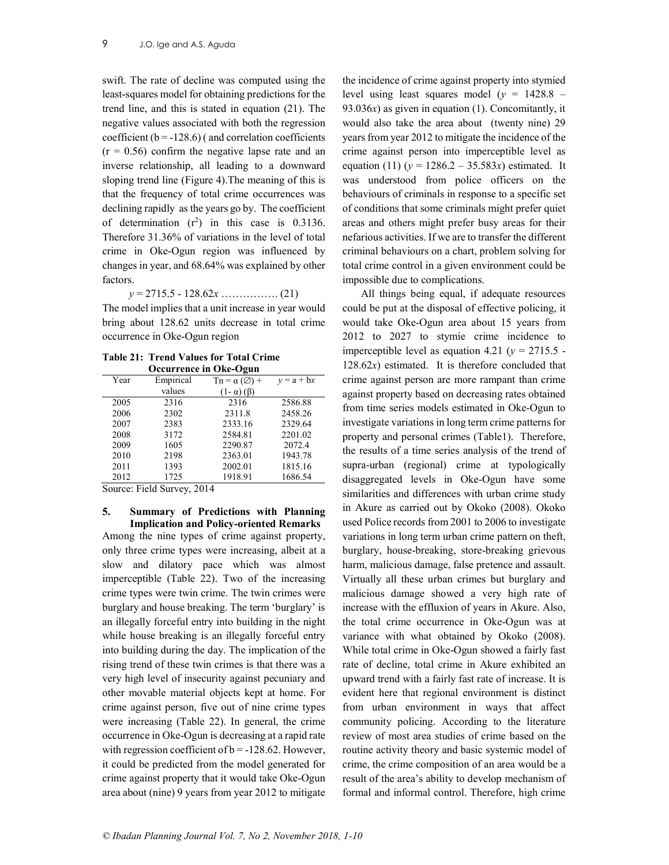swift. The rate of decline was computed using the least-squares model for obtaining predictions for the trend line, and this is stated in equation (21). The negative values associated with both the regression coefficient  $(b = -128.6)$  (and correlation coefficients  $(r = 0.56)$  confirm the negative lapse rate and an inverse relationship, all leading to a downward sloping trend line (Figure 4).The meaning of this is that the frequency of total crime occurrences was declining rapidly as the years go by. The coefficient of determination  $(r^2)$  in this case is 0.3136. Therefore 31.36% of variations in the level of total crime in Oke-Ogun region was influenced by changes in year, and 68.64% was explained by other factors.

y = 2715.5 - 128.62x ……………. (21)

The model implies that a unit increase in year would bring about 128.62 units decrease in total crime occurrence in Oke-Ogun region

Table 21: Trend Values for Total Crime Occurrence in Oke-Ogun

| $\sigma$ cean rence in One Ogun |           |                                    |              |  |
|---------------------------------|-----------|------------------------------------|--------------|--|
| Year                            | Empirical | $\text{Tr} = \alpha (\emptyset) +$ | $v = a + bx$ |  |
|                                 | values    | $(1 - \alpha)$ ( $\beta$ )         |              |  |
| 2005                            | 2316      | 2316                               | 2586.88      |  |
| 2006                            | 2302      | 2311.8                             | 2458.26      |  |
| 2007                            | 2383      | 2333.16                            | 2329.64      |  |
| 2008                            | 3172      | 2584.81                            | 2201.02      |  |
| 2009                            | 1605      | 2290.87                            | 2072.4       |  |
| 2010                            | 2198      | 2363.01                            | 1943.78      |  |
| 2011                            | 1393      | 2002.01                            | 1815.16      |  |
| 2012                            | 1725      | 1918.91                            | 1686.54      |  |

Source: Field Survey, 2014

# 5. Summary of Predictions with Planning Implication and Policy-oriented Remarks

Among the nine types of crime against property, only three crime types were increasing, albeit at a slow and dilatory pace which was almost imperceptible (Table 22). Two of the increasing crime types were twin crime. The twin crimes were burglary and house breaking. The term 'burglary' is an illegally forceful entry into building in the night while house breaking is an illegally forceful entry into building during the day. The implication of the rising trend of these twin crimes is that there was a very high level of insecurity against pecuniary and other movable material objects kept at home. For crime against person, five out of nine crime types were increasing (Table 22). In general, the crime occurrence in Oke-Ogun is decreasing at a rapid rate with regression coefficient of  $b = -128.62$ . However, it could be predicted from the model generated for crime against property that it would take Oke-Ogun area about (nine) 9 years from year 2012 to mitigate

the incidence of crime against property into stymied level using least squares model ( $y = 1428.8 -$ 93.036 $x$ ) as given in equation (1). Concomitantly, it would also take the area about (twenty nine) 29 years from year 2012 to mitigate the incidence of the crime against person into imperceptible level as equation (11) ( $y = 1286.2 - 35.583x$ ) estimated. It was understood from police officers on the behaviours of criminals in response to a specific set of conditions that some criminals might prefer quiet areas and others might prefer busy areas for their nefarious activities. If we are to transfer the different criminal behaviours on a chart, problem solving for total crime control in a given environment could be impossible due to complications.

All things being equal, if adequate resources could be put at the disposal of effective policing, it would take Oke-Ogun area about 15 years from 2012 to 2027 to stymie crime incidence to imperceptible level as equation 4.21 ( $y = 2715.5$  - $128.62x$ ) estimated. It is therefore concluded that crime against person are more rampant than crime against property based on decreasing rates obtained from time series models estimated in Oke-Ogun to investigate variations in long term crime patterns for property and personal crimes (Table1). Therefore, the results of a time series analysis of the trend of supra-urban (regional) crime at typologically disaggregated levels in Oke-Ogun have some similarities and differences with urban crime study in Akure as carried out by Okoko (2008). Okoko used Police records from 2001 to 2006 to investigate variations in long term urban crime pattern on theft, burglary, house-breaking, store-breaking grievous harm, malicious damage, false pretence and assault. Virtually all these urban crimes but burglary and malicious damage showed a very high rate of increase with the effluxion of years in Akure. Also, the total crime occurrence in Oke-Ogun was at variance with what obtained by Okoko (2008). While total crime in Oke-Ogun showed a fairly fast rate of decline, total crime in Akure exhibited an upward trend with a fairly fast rate of increase. It is evident here that regional environment is distinct from urban environment in ways that affect community policing. According to the literature review of most area studies of crime based on the routine activity theory and basic systemic model of crime, the crime composition of an area would be a result of the area's ability to develop mechanism of formal and informal control. Therefore, high crime